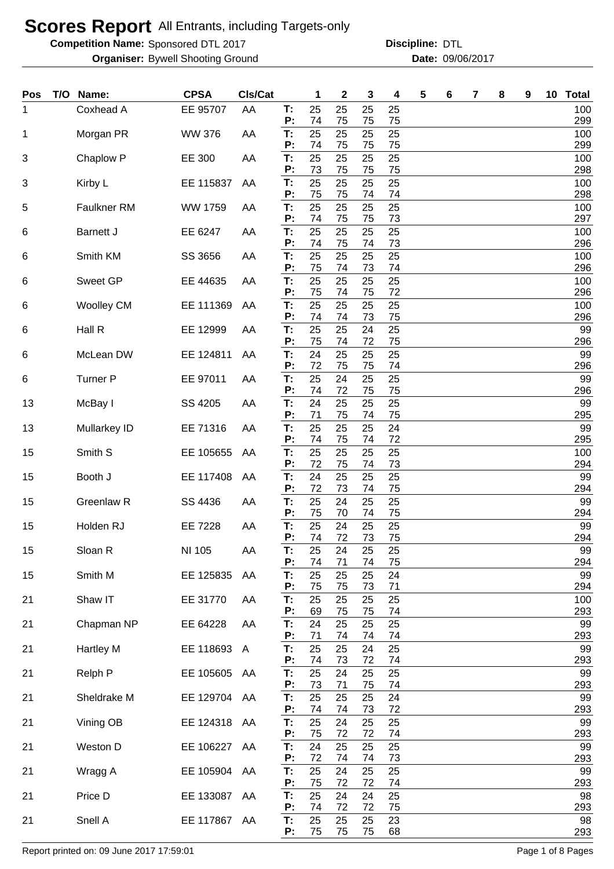**Competition Name:** Sponsored DTL 2017 **Discription Constructs** Discipline: DTL

Bywell Shooting Ground 09/06/2017 **Organiser: Date:**

**Discipline:**

| Pos | T/O | Name:             | <b>CPSA</b>    | CIs/Cat      |                | 1        | 2        | 3        | 4        | 5 | 6 | 7 | 8 | 9 | 10 <sup>°</sup> | <b>Total</b> |
|-----|-----|-------------------|----------------|--------------|----------------|----------|----------|----------|----------|---|---|---|---|---|-----------------|--------------|
| 1   |     | Coxhead A         | EE 95707       | AA           | T:<br>P:       | 25<br>74 | 25<br>75 | 25<br>75 | 25<br>75 |   |   |   |   |   |                 | 100<br>299   |
| 1   |     | Morgan PR         | <b>WW 376</b>  | AA           | T:<br>P:       | 25<br>74 | 25<br>75 | 25<br>75 | 25<br>75 |   |   |   |   |   |                 | 100<br>299   |
| 3   |     | Chaplow P         | EE 300         | AA           | T:<br>P:       | 25<br>73 | 25<br>75 | 25<br>75 | 25<br>75 |   |   |   |   |   |                 | 100<br>298   |
| 3   |     | Kirby L           | EE 115837      | AA           | T:<br>P:       | 25<br>75 | 25<br>75 | 25<br>74 | 25<br>74 |   |   |   |   |   |                 | 100<br>298   |
| 5   |     | Faulkner RM       | <b>WW 1759</b> | AA           | T:<br>P:       | 25<br>74 | 25       | 25       | 25       |   |   |   |   |   |                 | 100<br>297   |
| 6   |     | <b>Barnett J</b>  | EE 6247        | AA           | T:             | 25<br>74 | 75<br>25 | 75<br>25 | 73<br>25 |   |   |   |   |   |                 | 100<br>296   |
| 6   |     | Smith KM          | SS 3656        | AA           | P:<br>T:<br>P: | 25       | 75<br>25 | 74<br>25 | 73<br>25 |   |   |   |   |   |                 | 100          |
| 6   |     | <b>Sweet GP</b>   | EE 44635       | AA           | T:             | 75<br>25 | 74<br>25 | 73<br>25 | 74<br>25 |   |   |   |   |   |                 | 296<br>100   |
| 6   |     | <b>Woolley CM</b> | EE 111369      | AA           | P:<br>T:       | 75<br>25 | 74<br>25 | 75<br>25 | 72<br>25 |   |   |   |   |   |                 | 296<br>100   |
| 6   |     | Hall R            | EE 12999       | AA           | P:<br>T:       | 74<br>25 | 74<br>25 | 73<br>24 | 75<br>25 |   |   |   |   |   |                 | 296<br>99    |
| 6   |     | McLean DW         | EE 124811      | AA           | P:<br>T:       | 75<br>24 | 74<br>25 | 72<br>25 | 75<br>25 |   |   |   |   |   |                 | 296<br>99    |
| 6   |     | <b>Turner P</b>   | EE 97011       | AA           | P:<br>T:       | 72<br>25 | 75<br>24 | 75<br>25 | 74<br>25 |   |   |   |   |   |                 | 296<br>99    |
| 13  |     | McBay I           | SS 4205        | AA           | P:<br>T:       | 74<br>24 | 72<br>25 | 75<br>25 | 75<br>25 |   |   |   |   |   |                 | 296<br>99    |
|     |     |                   |                |              | P:             | 71       | 75       | 74       | 75       |   |   |   |   |   |                 | 295          |
| 13  |     | Mullarkey ID      | EE 71316       | AA           | T:<br>P:       | 25<br>74 | 25<br>75 | 25<br>74 | 24<br>72 |   |   |   |   |   |                 | 99<br>295    |
| 15  |     | Smith S           | EE 105655      | AA           | T:<br>P:       | 25<br>72 | 25<br>75 | 25<br>74 | 25<br>73 |   |   |   |   |   |                 | 100<br>294   |
| 15  |     | Booth J           | EE 117408      | AA           | T:<br>P:       | 24<br>72 | 25<br>73 | 25<br>74 | 25<br>75 |   |   |   |   |   |                 | 99<br>294    |
| 15  |     | Greenlaw R        | SS 4436        | AA           | T:<br>P:       | 25<br>75 | 24<br>70 | 25<br>74 | 25<br>75 |   |   |   |   |   |                 | 99<br>294    |
| 15  |     | Holden RJ         | EE 7228        | AA           | T.<br>P:       | 25<br>74 | 24<br>72 | 25<br>73 | 25<br>75 |   |   |   |   |   |                 | 99<br>294    |
| 15  |     | Sloan R           | NI 105         | AA           | T:<br>P:       | 25<br>74 | 24<br>71 | 25<br>74 | 25<br>75 |   |   |   |   |   |                 | 99<br>294    |
| 15  |     | Smith M           | EE 125835      | AA           | T:             | 25<br>75 | 25       | 25       | 24       |   |   |   |   |   |                 | 99<br>294    |
| 21  |     | Shaw IT           | EE 31770       | AA           | P:<br>T:       | 25       | 75<br>25 | 73<br>25 | 71<br>25 |   |   |   |   |   |                 | 100          |
| 21  |     | Chapman NP        | EE 64228       | AA           | P:<br>T:       | 69<br>24 | 75<br>25 | 75<br>25 | 74<br>25 |   |   |   |   |   |                 | 293<br>99    |
| 21  |     | Hartley M         | EE 118693      | $\mathsf{A}$ | P:<br>T:       | 71<br>25 | 74<br>25 | 74<br>24 | 74<br>25 |   |   |   |   |   |                 | 293<br>99    |
| 21  |     | Relph P           | EE 105605      | AA           | P:<br>T:       | 74<br>25 | 73<br>24 | 72<br>25 | 74<br>25 |   |   |   |   |   |                 | 293<br>99    |
| 21  |     | Sheldrake M       | EE 129704 AA   |              | P:<br>Т.       | 73<br>25 | 71<br>25 | 75<br>25 | 74<br>24 |   |   |   |   |   |                 | 293<br>99    |
| 21  |     | Vining OB         | EE 124318      | AA           | P:<br>T.       | 74<br>25 | 74<br>24 | 73<br>25 | 72<br>25 |   |   |   |   |   |                 | 293<br>99    |
| 21  |     | Weston D          | EE 106227      | AA           | P:<br>Т.       | 75<br>24 | 72<br>25 | 72<br>25 | 74<br>25 |   |   |   |   |   |                 | 293<br>99    |
| 21  |     | Wragg A           | EE 105904 AA   |              | P:<br>Т.       | 72<br>25 | 74<br>24 | 74<br>25 | 73<br>25 |   |   |   |   |   |                 | 293<br>99    |
| 21  |     | Price D           | EE 133087      | AA           | P:<br>T.       | 75<br>25 | 72<br>24 | 72<br>24 | 74<br>25 |   |   |   |   |   |                 | 293<br>98    |
|     |     |                   |                |              | P:<br>T.       | 74<br>25 | 72<br>25 | 72<br>25 | 75<br>23 |   |   |   |   |   |                 | 293<br>98    |
| 21  |     | Snell A           | EE 117867 AA   |              | P:             | 75       | 75       | 75       | 68       |   |   |   |   |   |                 | 293          |

Report printed on: 09 June 2017 17:59:01 Page 1 of 8 Pages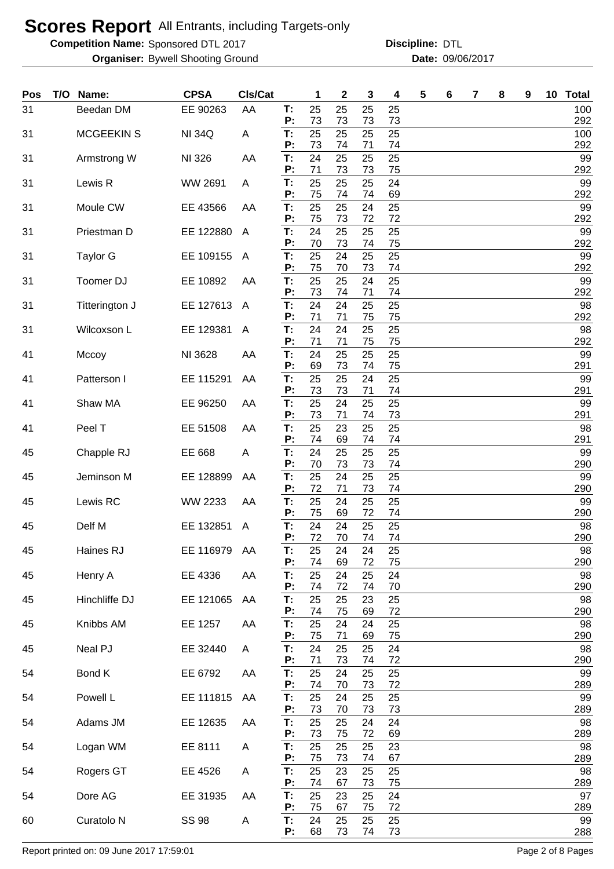**Competition Name:** Sponsored DTL 2017 **Discription Constructs** Discipline: DTL

Bywell Shooting Ground 09/06/2017 **Organiser: Date:**

**Discipline:**

| Pos | T/O | Name:                 | <b>CPSA</b>   | Cls/Cat |          | 1        | $\mathbf 2$ | 3        | 4        | 5 | 6 | 7 | 8 | 9 | 10 <sup>°</sup> | <b>Total</b> |
|-----|-----|-----------------------|---------------|---------|----------|----------|-------------|----------|----------|---|---|---|---|---|-----------------|--------------|
| 31  |     | Beedan DM             | EE 90263      | AA      | T:<br>P: | 25<br>73 | 25<br>73    | 25<br>73 | 25<br>73 |   |   |   |   |   |                 | 100<br>292   |
| 31  |     | <b>MCGEEKIN S</b>     | <b>NI 34Q</b> | Α       | T:<br>P: | 25<br>73 | 25<br>74    | 25<br>71 | 25<br>74 |   |   |   |   |   |                 | 100<br>292   |
| 31  |     | Armstrong W           | NI 326        | AA      | T:<br>P: | 24<br>71 | 25<br>73    | 25<br>73 | 25<br>75 |   |   |   |   |   |                 | 99<br>292    |
| 31  |     | Lewis R               | WW 2691       | A       | T:<br>P: | 25<br>75 | 25<br>74    | 25<br>74 | 24<br>69 |   |   |   |   |   |                 | 99<br>292    |
| 31  |     | Moule CW              | EE 43566      | AA      | T:<br>Ρ. | 25<br>75 | 25<br>73    | 24<br>72 | 25<br>72 |   |   |   |   |   |                 | 99<br>292    |
| 31  |     | Priestman D           | EE 122880     | A       | T:<br>P: | 24<br>70 | 25<br>73    | 25<br>74 | 25<br>75 |   |   |   |   |   |                 | 99<br>292    |
| 31  |     | <b>Taylor G</b>       | EE 109155     | A       | T:<br>P: | 25<br>75 | 24<br>70    | 25<br>73 | 25<br>74 |   |   |   |   |   |                 | 99<br>292    |
| 31  |     | Toomer DJ             | EE 10892      | AA      | T:<br>Ρ: | 25<br>73 | 25<br>74    | 24<br>71 | 25<br>74 |   |   |   |   |   |                 | 99<br>292    |
| 31  |     | Titterington J        | EE 127613     | A       | T:<br>P: | 24<br>71 | 24<br>71    | 25<br>75 | 25<br>75 |   |   |   |   |   |                 | 98<br>292    |
| 31  |     | Wilcoxson L           | EE 129381     | A       | T:<br>Ρ: | 24<br>71 | 24<br>71    | 25<br>75 | 25<br>75 |   |   |   |   |   |                 | 98<br>292    |
| 41  |     | Mccoy                 | NI 3628       | AA      | T:<br>P: | 24<br>69 | 25<br>73    | 25       | 25<br>75 |   |   |   |   |   |                 | 99<br>291    |
| 41  |     | Patterson I           | EE 115291     | AA      | T:       | 25       | 25          | 74<br>24 | 25       |   |   |   |   |   |                 | 99           |
| 41  |     | Shaw MA               | EE 96250      | AA      | P:<br>T: | 73<br>25 | 73<br>24    | 71<br>25 | 74<br>25 |   |   |   |   |   |                 | 291<br>99    |
| 41  |     | Peel T                | EE 51508      | AA      | P:<br>T: | 73<br>25 | 71<br>23    | 74<br>25 | 73<br>25 |   |   |   |   |   |                 | 291<br>98    |
| 45  |     | Chapple RJ            | EE 668        | A       | P:<br>T: | 74<br>24 | 69<br>25    | 74<br>25 | 74<br>25 |   |   |   |   |   |                 | 291<br>99    |
| 45  |     | Jeminson M            | EE 128899     | AA      | P:<br>T: | 70<br>25 | 73<br>24    | 73<br>25 | 74<br>25 |   |   |   |   |   |                 | 290<br>99    |
| 45  |     | Lewis RC              | WW 2233       | AA      | P:<br>T: | 72<br>25 | 71<br>24    | 73<br>25 | 74<br>25 |   |   |   |   |   |                 | 290<br>99    |
| 45  |     | Delf M                | EE 132851     | A       | P:<br>T: | 75<br>24 | 69<br>24    | 72<br>25 | 74<br>25 |   |   |   |   |   |                 | 290<br>98    |
| 45  |     | Haines RJ             | EE 116979 AA  |         | Ρ:<br>T: | 72<br>25 | 70<br>24    | 74<br>24 | 74<br>25 |   |   |   |   |   |                 | 290<br>98    |
| 45  |     | Henry A               | EE 4336       | AA      | P:<br>T: | 74<br>25 | 69<br>24    | 72<br>25 | 75<br>24 |   |   |   |   |   |                 | 290<br>98    |
| 45  |     | Hinchliffe DJ         | EE 121065     | AA      | Ρ.<br>T: | 74<br>25 | 72<br>25    | 74<br>23 | 70<br>25 |   |   |   |   |   |                 | 290<br>98    |
| 45  |     | Knibbs AM             | EE 1257       | AA      | Ρ.<br>T: | 74<br>25 | 75<br>24    | 69<br>24 | 72<br>25 |   |   |   |   |   |                 | 290<br>98    |
| 45  |     | Neal PJ               | EE 32440      | A       | Ρ.<br>T: | 75<br>24 | 71<br>25    | 69<br>25 | 75<br>24 |   |   |   |   |   |                 | 290<br>98    |
| 54  |     | Bond K                | EE 6792       | AA      | P:<br>T: | 71<br>25 | 73<br>24    | 74<br>25 | 72<br>25 |   |   |   |   |   |                 | 290<br>99    |
| 54  |     | Powell L              | EE 111815     | AA      | Ρ.<br>T: | 74<br>25 | 70<br>24    | 73<br>25 | 72<br>25 |   |   |   |   |   |                 | 289<br>99    |
| 54  |     | Adams JM              | EE 12635      | AA      | Ρ:<br>T: | 73<br>25 | 70<br>25    | 73<br>24 | 73<br>24 |   |   |   |   |   |                 | 289<br>98    |
| 54  |     | Logan WM              | EE 8111       | Α       | P:<br>T: | 73<br>25 | 75<br>25    | 72<br>25 | 69<br>23 |   |   |   |   |   |                 | 289<br>98    |
| 54  |     | Rogers GT             | EE 4526       | A       | P:<br>T: | 75<br>25 | 73<br>23    | 74<br>25 | 67<br>25 |   |   |   |   |   |                 | 289<br>98    |
| 54  |     | Dore AG               | EE 31935      | AA      | P:<br>T: | 74<br>25 | 67<br>23    | 73<br>25 | 75<br>24 |   |   |   |   |   |                 | 289<br>97    |
| 60  |     | Curatolo <sub>N</sub> | <b>SS 98</b>  | A       | P:<br>T: | 75<br>24 | 67<br>25    | 75<br>25 | 72<br>25 |   |   |   |   |   |                 | 289<br>99    |
|     |     |                       |               |         | P:       | 68       | 73          | 74       | 73       |   |   |   |   |   |                 | 288          |

Report printed on: 09 June 2017 17:59:01 Page 2 of 8 Pages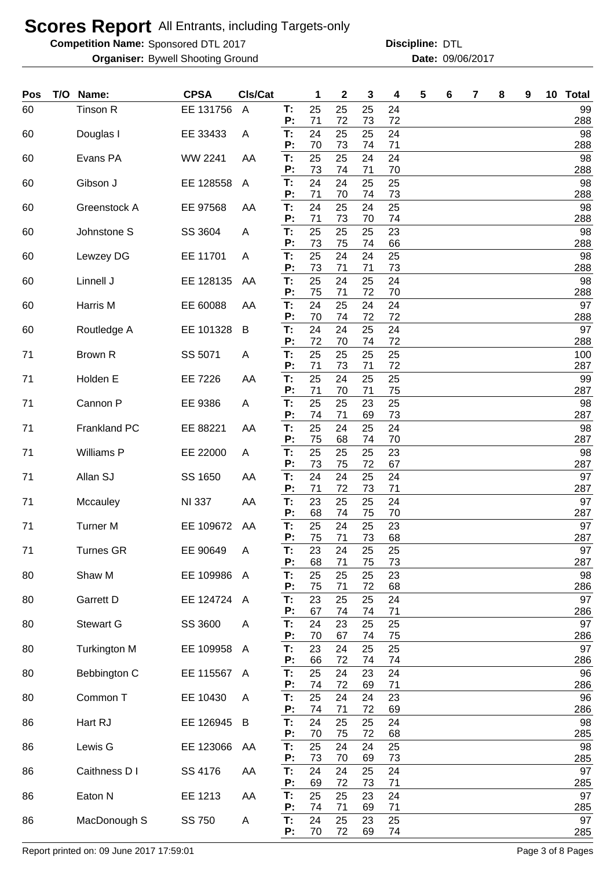**Competition Name:** Sponsored DTL 2017 **Discription Constructs** Discipline: DTL

Bywell Shooting Ground 09/06/2017 **Organiser: Date:**

**Discipline:**

| Pos | T/O | Name:               | <b>CPSA</b>   | Cls/Cat        |          | 1        | 2        | 3        | 4        | 5 | 6 | 7 | 8 | 9 | 10 Total   |
|-----|-----|---------------------|---------------|----------------|----------|----------|----------|----------|----------|---|---|---|---|---|------------|
| 60  |     | Tinson R            | EE 131756     | $\overline{A}$ | T:<br>P: | 25<br>71 | 25<br>72 | 25<br>73 | 24<br>72 |   |   |   |   |   | 99<br>288  |
| 60  |     | Douglas I           | EE 33433      | Α              | T.<br>Ρ. | 24<br>70 | 25<br>73 | 25<br>74 | 24<br>71 |   |   |   |   |   | 98<br>288  |
| 60  |     | Evans PA            | WW 2241       | AA             | Т:<br>P: | 25<br>73 | 25<br>74 | 24<br>71 | 24<br>70 |   |   |   |   |   | 98<br>288  |
| 60  |     | Gibson J            | EE 128558     | A              | T:<br>P: | 24<br>71 | 24<br>70 | 25<br>74 | 25<br>73 |   |   |   |   |   | 98<br>288  |
| 60  |     | Greenstock A        | EE 97568      | AA             | T:<br>P: | 24<br>71 | 25<br>73 | 24       | 25       |   |   |   |   |   | 98         |
| 60  |     | Johnstone S         | SS 3604       | Α              | T.       | 25       | 25       | 70<br>25 | 74<br>23 |   |   |   |   |   | 288<br>98  |
| 60  |     | Lewzey DG           | EE 11701      | A              | P:<br>T: | 73<br>25 | 75<br>24 | 74<br>24 | 66<br>25 |   |   |   |   |   | 288<br>98  |
| 60  |     | Linnell J           | EE 128135     | AA             | P:<br>T. | 73<br>25 | 71<br>24 | 71<br>25 | 73<br>24 |   |   |   |   |   | 288<br>98  |
| 60  |     | Harris M            | EE 60088      | AA             | P:<br>T: | 75<br>24 | 71<br>25 | 72<br>24 | 70<br>24 |   |   |   |   |   | 288<br>97  |
| 60  |     | Routledge A         | EE 101328     | B              | P:<br>T: | 70<br>24 | 74<br>24 | 72<br>25 | 72<br>24 |   |   |   |   |   | 288<br>97  |
| 71  |     | Brown R             | SS 5071       | Α              | Р:<br>T: | 72<br>25 | 70<br>25 | 74<br>25 | 72<br>25 |   |   |   |   |   | 288<br>100 |
| 71  |     | Holden E            | EE 7226       | AA             | P:<br>T: | 71<br>25 | 73<br>24 | 71<br>25 | 72<br>25 |   |   |   |   |   | 287<br>99  |
| 71  |     | Cannon P            | EE 9386       | Α              | P:<br>T. | 71<br>25 | 70<br>25 | 71<br>23 | 75<br>25 |   |   |   |   |   | 287<br>98  |
| 71  |     | Frankland PC        | EE 88221      | AA             | Ρ:<br>T: | 74<br>25 | 71<br>24 | 69<br>25 | 73<br>24 |   |   |   |   |   | 287<br>98  |
| 71  |     | Williams P          | EE 22000      | Α              | Ρ:<br>T: | 75<br>25 | 68<br>25 | 74<br>25 | 70<br>23 |   |   |   |   |   | 287<br>98  |
|     |     |                     |               |                | P:       | 73       | 75       | 72       | 67       |   |   |   |   |   | 287        |
| 71  |     | Allan SJ            | SS 1650       | AA             | T:<br>P: | 24<br>71 | 24<br>72 | 25<br>73 | 24<br>71 |   |   |   |   |   | 97<br>287  |
| 71  |     | Mccauley            | <b>NI 337</b> | AA             | T:<br>P: | 23<br>68 | 25<br>74 | 25<br>75 | 24<br>70 |   |   |   |   |   | 97<br>287  |
| 71  |     | <b>Turner M</b>     | EE 109672     | AA             | T:<br>P: | 25<br>75 | 24<br>71 | 25<br>73 | 23<br>68 |   |   |   |   |   | 97<br>287  |
| 71  |     | Turnes GR           | EE 90649      | A              | т:<br>P: | 23<br>68 | 24<br>71 | 25<br>75 | 25<br>73 |   |   |   |   |   | 97<br>287  |
| 80  |     | Shaw M              | EE 109986 A   |                | T:<br>Ρ. | 25<br>75 | 25<br>71 | 25<br>72 | 23<br>68 |   |   |   |   |   | 98<br>286  |
| 80  |     | Garrett D           | EE 124724 A   |                | T:<br>P: | 23<br>67 | 25<br>74 | 25<br>74 | 24<br>71 |   |   |   |   |   | 97<br>286  |
| 80  |     | <b>Stewart G</b>    | SS 3600       | Α              | T.       | 24       | 23       | 25       | 25       |   |   |   |   |   | 97         |
| 80  |     | <b>Turkington M</b> | EE 109958     | A              | P:<br>Т: | 70<br>23 | 67<br>24 | 74<br>25 | 75<br>25 |   |   |   |   |   | 286<br>97  |
| 80  |     | Bebbington C        | EE 115567     | A              | P:<br>Т: | 66<br>25 | 72<br>24 | 74<br>23 | 74<br>24 |   |   |   |   |   | 286<br>96  |
| 80  |     | Common T            | EE 10430      | A              | Ρ.<br>T. | 74<br>25 | 72<br>24 | 69<br>24 | 71<br>23 |   |   |   |   |   | 286<br>96  |
| 86  |     | Hart RJ             | EE 126945     | B              | P:<br>T: | 74<br>24 | 71<br>25 | 72<br>25 | 69<br>24 |   |   |   |   |   | 286<br>98  |
| 86  |     | Lewis G             | EE 123066     | AA             | Ρ.<br>T: | 70<br>25 | 75<br>24 | 72<br>24 | 68<br>25 |   |   |   |   |   | 285<br>98  |
| 86  |     | Caithness D I       | SS 4176       | AA             | P:<br>T: | 73<br>24 | 70<br>24 | 69<br>25 | 73<br>24 |   |   |   |   |   | 285<br>97  |
| 86  |     | Eaton N             | EE 1213       | AA             | P:<br>T: | 69<br>25 | 72<br>25 | 73<br>23 | 71<br>24 |   |   |   |   |   | 285<br>97  |
|     |     |                     |               |                | P:       | 74       | 71       | 69       | 71       |   |   |   |   |   | 285        |
| 86  |     | MacDonough S        | SS 750        | A              | Т:<br>P: | 24<br>70 | 25<br>72 | 23<br>69 | 25<br>74 |   |   |   |   |   | 97<br>285  |

Report printed on: 09 June 2017 17:59:01 Page 3 of 8 Pages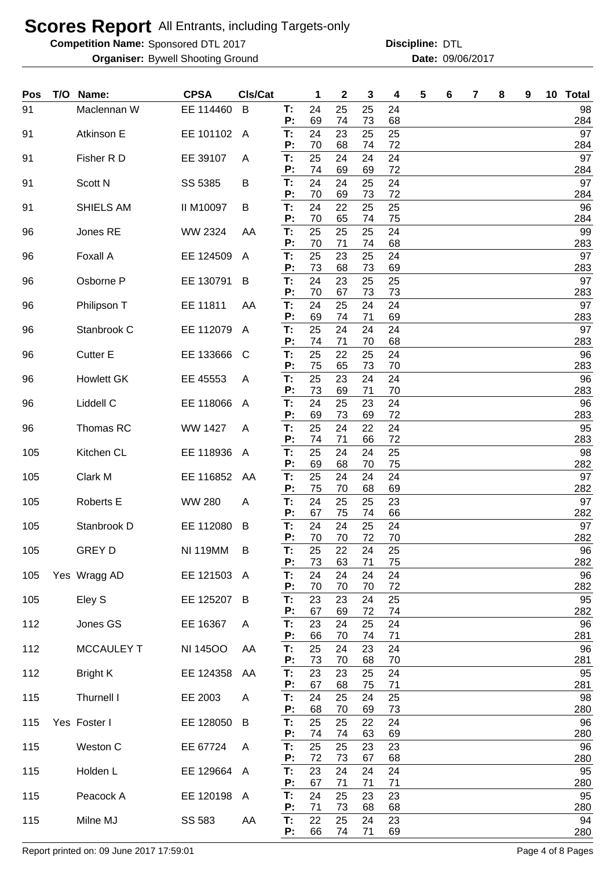**Competition Name:** Sponsored DTL 2017 **Discription Constructs** Discipline: DTL

Bywell Shooting Ground 09/06/2017 **Organiser: Date:**

**Discipline:**

| Pos | T/O | Name:             | <b>CPSA</b>     | Cls/Cat |          | 1              | $\mathbf 2$ | 3        | 4        | 5 | 6 | 7 | 8 | 9 | 10 Total         |
|-----|-----|-------------------|-----------------|---------|----------|----------------|-------------|----------|----------|---|---|---|---|---|------------------|
| 91  |     | Maclennan W       | EE 114460       | B       | Т:<br>P: | 24<br>69       | 25<br>74    | 25<br>73 | 24<br>68 |   |   |   |   |   | 98<br>284        |
| 91  |     | Atkinson E        | EE 101102       | A       | T:       | 24             | 23          | 25       | 25       |   |   |   |   |   | 97               |
| 91  |     | Fisher R D        | EE 39107        | A       | P:<br>Т. | 70<br>25       | 68<br>24    | 74<br>24 | 72<br>24 |   |   |   |   |   | 284<br>97        |
|     |     |                   |                 |         | P:       | 74             | 69          | 69       | 72       |   |   |   |   |   | 284              |
| 91  |     | Scott N           | SS 5385         | В       | T:<br>P: | 24<br>70       | 24<br>69    | 25<br>73 | 24<br>72 |   |   |   |   |   | 97<br>284        |
| 91  |     | SHIELS AM         | II M10097       | В       | T:<br>P: | 24<br>70       | 22<br>65    | 25<br>74 | 25<br>75 |   |   |   |   |   | 96<br>284        |
| 96  |     | Jones RE          | WW 2324         | AA      | T:       | 25             | 25          | 25       | 24       |   |   |   |   |   | 99               |
| 96  |     | Foxall A          | EE 124509       | A       | P:<br>T: | 70<br>25<br>73 | 71<br>23    | 74<br>25 | 68<br>24 |   |   |   |   |   | 283<br>97<br>283 |
| 96  |     | Osborne P         | EE 130791       | B       | P:<br>T: | 24             | 68<br>23    | 73<br>25 | 69<br>25 |   |   |   |   |   | 97               |
| 96  |     | Philipson T       | EE 11811        | AA      | P:<br>T: | 70<br>24       | 67<br>25    | 73<br>24 | 73<br>24 |   |   |   |   |   | 283<br>97        |
|     |     |                   |                 |         | P:       | 69             | 74          | 71       | 69       |   |   |   |   |   | 283              |
| 96  |     | Stanbrook C       | EE 112079       | A       | T:<br>P: | 25<br>74       | 24<br>71    | 24<br>70 | 24<br>68 |   |   |   |   |   | 97<br>283        |
| 96  |     | <b>Cutter E</b>   | EE 133666       | C       | T:<br>P: | 25<br>75       | 22<br>65    | 25<br>73 | 24<br>70 |   |   |   |   |   | 96<br>283        |
| 96  |     | <b>Howlett GK</b> | EE 45553        | A       | T:       | 25             | 23          | 24       | 24       |   |   |   |   |   | 96               |
| 96  |     | Liddell C         | EE 118066       | A       | Ρ:<br>T: | 73<br>24       | 69<br>25    | 71<br>23 | 70<br>24 |   |   |   |   |   | 283<br>96        |
|     |     |                   |                 |         | Р:       | 69             | 73          | 69       | 72       |   |   |   |   |   | 283              |
| 96  |     | Thomas RC         | <b>WW 1427</b>  | A       | T:<br>P: | 25<br>74       | 24<br>71    | 22<br>66 | 24<br>72 |   |   |   |   |   | 95<br>283        |
| 105 |     | Kitchen CL        | EE 118936       | A       | T:<br>P: | 25<br>69       | 24<br>68    | 24<br>70 | 25<br>75 |   |   |   |   |   | 98<br>282        |
| 105 |     | Clark M           | EE 116852       | AA      | T:       | 25             | 24          | 24       | 24       |   |   |   |   |   | 97               |
| 105 |     | Roberts E         | <b>WW 280</b>   | A       | P:<br>T: | 75<br>24       | 70<br>25    | 68<br>25 | 69<br>23 |   |   |   |   |   | 282<br>97        |
|     |     |                   |                 |         | P:       | 67             | 75          | 74       | 66       |   |   |   |   |   | 282              |
| 105 |     | Stanbrook D       | EE 112080       | B       | T:<br>P: | 24<br>70       | 24<br>70    | 25<br>72 | 24<br>70 |   |   |   |   |   | 97<br>282        |
| 105 |     | <b>GREY D</b>     | <b>NI 119MM</b> | B       | Т:<br>P: | 25<br>73       | 22<br>63    | 24<br>71 | 25<br>75 |   |   |   |   |   | 96<br>282        |
| 105 |     | Yes Wragg AD      | EE 121503 A     |         | T:       | 24             | 24          | 24       | 24       |   |   |   |   |   | 96               |
| 105 |     | Eley S            | EE 125207       | B       | P:<br>T: | 70<br>23       | 70<br>23    | 70<br>24 | 72<br>25 |   |   |   |   |   | 282<br>95        |
|     |     | Jones GS          |                 |         | P:       | 67<br>23       | 69<br>24    | 72       | 74<br>24 |   |   |   |   |   | 282<br>96        |
| 112 |     |                   | EE 16367        | A       | T:<br>P: | 66             | 70          | 25<br>74 | 71       |   |   |   |   |   | 281              |
| 112 |     | <b>MCCAULEY T</b> | <b>NI 14500</b> | AA      | T:<br>P: | 25<br>73       | 24<br>70    | 23<br>68 | 24<br>70 |   |   |   |   |   | 96<br>281        |
| 112 |     | <b>Bright K</b>   | EE 124358       | AA      | T:       | 23             | 23          | 25       | 24       |   |   |   |   |   | 95               |
| 115 |     | Thurnell I        | EE 2003         | Α       | P:<br>T: | 67<br>24       | 68<br>25    | 75<br>24 | 71<br>25 |   |   |   |   |   | 281<br>98        |
| 115 |     | Yes Foster I      | EE 128050       | B       | P:<br>T: | 68<br>25       | 70<br>25    | 69<br>22 | 73<br>24 |   |   |   |   |   | 280<br>96        |
|     |     |                   |                 |         | P:       | 74             | 74          | 63       | 69       |   |   |   |   |   | 280              |
| 115 |     | Weston C          | EE 67724        | A       | T:<br>P: | 25<br>72       | 25<br>73    | 23<br>67 | 23<br>68 |   |   |   |   |   | 96<br>280        |
| 115 |     | Holden L          | EE 129664       | A       | T:       | 23             | 24          | 24       | 24       |   |   |   |   |   | 95               |
| 115 |     | Peacock A         | EE 120198       | A       | P:<br>T: | 67<br>24       | 71<br>25    | 71<br>23 | 71<br>23 |   |   |   |   |   | 280<br>95        |
| 115 |     | Milne MJ          | SS 583          | AA      | P:<br>T: | 71<br>22       | 73<br>25    | 68<br>24 | 68<br>23 |   |   |   |   |   | 280<br>94        |
|     |     |                   |                 |         | P:       | 66             | 74          | 71       | 69       |   |   |   |   |   | 280              |

Report printed on: 09 June 2017 17:59:01 Page 4 of 8 Pages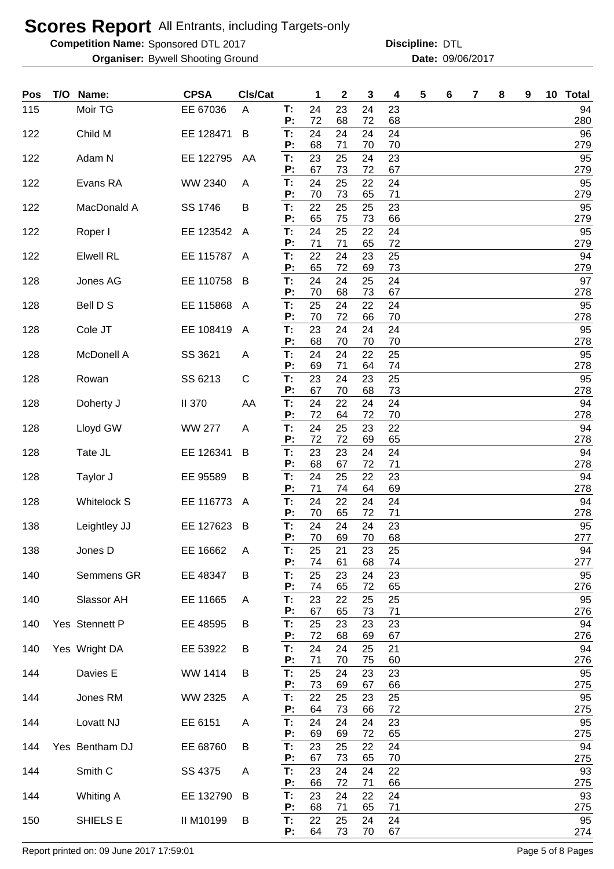**Competition Name:** Sponsored DTL 2017 **Discription Constructs** Discipline: DTL

Bywell Shooting Ground 09/06/2017 **Organiser: Date:**

**Discipline:**

| Pos | T/O | Name:              | <b>CPSA</b>   | Cls/Cat        |                 | 1        | 2        | 3        | 4        | 5 | 6 | 7 | 8 | 9 | 10 <sub>1</sub> | <b>Total</b> |
|-----|-----|--------------------|---------------|----------------|-----------------|----------|----------|----------|----------|---|---|---|---|---|-----------------|--------------|
| 115 |     | Moir TG            | EE 67036      | A              | T:<br>P:        | 24<br>72 | 23<br>68 | 24<br>72 | 23<br>68 |   |   |   |   |   |                 | 94<br>280    |
| 122 |     | Child M            | EE 128471     | B              | T:<br>P:        | 24<br>68 | 24<br>71 | 24<br>70 | 24<br>70 |   |   |   |   |   |                 | 96<br>279    |
| 122 |     | Adam N             | EE 122795     | AA             | T:<br>P:        | 23<br>67 | 25<br>73 | 24<br>72 | 23<br>67 |   |   |   |   |   |                 | 95<br>279    |
| 122 |     | Evans RA           | WW 2340       | A              | T:<br>P:        | 24<br>70 | 25<br>73 | 22<br>65 | 24<br>71 |   |   |   |   |   |                 | 95<br>279    |
| 122 |     | MacDonald A        | SS 1746       | B              | T:<br>P:        | 22       | 25       | 25       | 23       |   |   |   |   |   |                 | 95<br>279    |
| 122 |     | Roper I            | EE 123542     | $\mathsf{A}$   | T:              | 65<br>24 | 75<br>25 | 73<br>22 | 66<br>24 |   |   |   |   |   |                 | 95           |
| 122 |     | <b>Elwell RL</b>   | EE 115787     | A              | P:<br>T:        | 71<br>22 | 71<br>24 | 65<br>23 | 72<br>25 |   |   |   |   |   |                 | 279<br>94    |
| 128 |     | Jones AG           | EE 110758     | B              | P:<br>T:        | 65<br>24 | 72<br>24 | 69<br>25 | 73<br>24 |   |   |   |   |   |                 | 279<br>97    |
| 128 |     | Bell D S           | EE 115868     | A              | P:<br>T:        | 70<br>25 | 68<br>24 | 73<br>22 | 67<br>24 |   |   |   |   |   |                 | 278<br>95    |
| 128 |     | Cole JT            | EE 108419     | A              | Ρ:<br>T:        | 70<br>23 | 72<br>24 | 66<br>24 | 70<br>24 |   |   |   |   |   |                 | 278<br>95    |
| 128 |     | <b>McDonell A</b>  | SS 3621       | A              | Р:<br>T:        | 68<br>24 | 70<br>24 | 70<br>22 | 70<br>25 |   |   |   |   |   |                 | 278<br>95    |
| 128 |     | Rowan              | SS 6213       | C              | P:<br>T:        | 69<br>23 | 71<br>24 | 64<br>23 | 74<br>25 |   |   |   |   |   |                 | 278<br>95    |
| 128 |     | Doherty J          | <b>II 370</b> | AA             | P:<br>T:        | 67<br>24 | 70<br>22 | 68<br>24 | 73<br>24 |   |   |   |   |   |                 | 278<br>94    |
| 128 |     | Lloyd GW           | <b>WW 277</b> | A              | P:<br>T:        | 72<br>24 | 64<br>25 | 72<br>23 | 70<br>22 |   |   |   |   |   |                 | 278<br>94    |
| 128 |     | Tate JL            | EE 126341     | B              | P:<br>T:        | 72<br>23 | 72<br>23 | 69<br>24 | 65<br>24 |   |   |   |   |   |                 | 278<br>94    |
| 128 |     | Taylor J           | EE 95589      | B              | P:<br>T.        | 68<br>24 | 67<br>25 | 72<br>22 | 71<br>23 |   |   |   |   |   |                 | 278<br>94    |
| 128 |     | <b>Whitelock S</b> | EE 116773     | $\overline{A}$ | P:<br>T:        | 71<br>24 | 74<br>22 | 64<br>24 | 69<br>24 |   |   |   |   |   |                 | 278<br>94    |
| 138 |     | Leightley JJ       | EE 127623     | B              | P:<br>T.        | 70<br>24 | 65<br>24 | 72<br>24 | 71<br>23 |   |   |   |   |   |                 | 278<br>95    |
| 138 |     | Jones D            | EE 16662      | A              | P:<br>T:        | 70<br>25 | 69<br>21 | 70<br>23 | 68<br>25 |   |   |   |   |   |                 | 277<br>94    |
| 140 |     | Semmens GR         | EE 48347      | B              | P:<br>T:        | 74<br>25 | 61<br>23 | 68<br>24 | 74<br>23 |   |   |   |   |   |                 | 277<br>95    |
| 140 |     | Slassor AH         | EE 11665      | A              | P:<br>T:        | 74<br>23 | 65<br>22 | 72<br>25 | 65<br>25 |   |   |   |   |   |                 | 276<br>95    |
| 140 |     | Yes Stennett P     | EE 48595      | B              | P:<br>T:        | 67<br>25 | 65<br>23 | 73<br>23 | 71<br>23 |   |   |   |   |   |                 | 276<br>94    |
| 140 |     | Yes Wright DA      | EE 53922      | B              | P:<br>T:        | 72<br>24 | 68<br>24 | 69<br>25 | 67<br>21 |   |   |   |   |   |                 | 276<br>94    |
| 144 |     | Davies E           | WW 1414       | B              | P:<br>T:        | 71<br>25 | 70<br>24 | 75<br>23 | 60<br>23 |   |   |   |   |   |                 | 276<br>95    |
| 144 |     | Jones RM           | WW 2325       | A              | P:<br>T:        | 73<br>22 | 69<br>25 | 67<br>23 | 66<br>25 |   |   |   |   |   |                 | 275<br>95    |
| 144 |     | Lovatt NJ          | EE 6151       | Α              | P:<br>T:        | 64<br>24 | 73<br>24 | 66<br>24 | 72<br>23 |   |   |   |   |   |                 | 275<br>95    |
| 144 |     | Yes Bentham DJ     | EE 68760      | B              | P:<br>T:        | 69<br>23 | 69<br>25 | 72<br>22 | 65<br>24 |   |   |   |   |   |                 | 275<br>94    |
|     |     | Smith <sub>C</sub> | SS 4375       |                | P:<br>T:        | 67<br>23 | 73<br>24 | 65<br>24 | 70<br>22 |   |   |   |   |   |                 | 275<br>93    |
| 144 |     |                    |               | Α              | P:              | 66       | 72       | 71       | 66       |   |   |   |   |   |                 | 275          |
| 144 |     | <b>Whiting A</b>   | EE 132790     | B              | T:<br>P:        | 23<br>68 | 24<br>71 | 22<br>65 | 24<br>71 |   |   |   |   |   |                 | 93<br>275    |
| 150 |     | SHIELS E           | II M10199     | B              | T:<br><b>P:</b> | 22<br>64 | 25<br>73 | 24<br>70 | 24<br>67 |   |   |   |   |   |                 | 95<br>274    |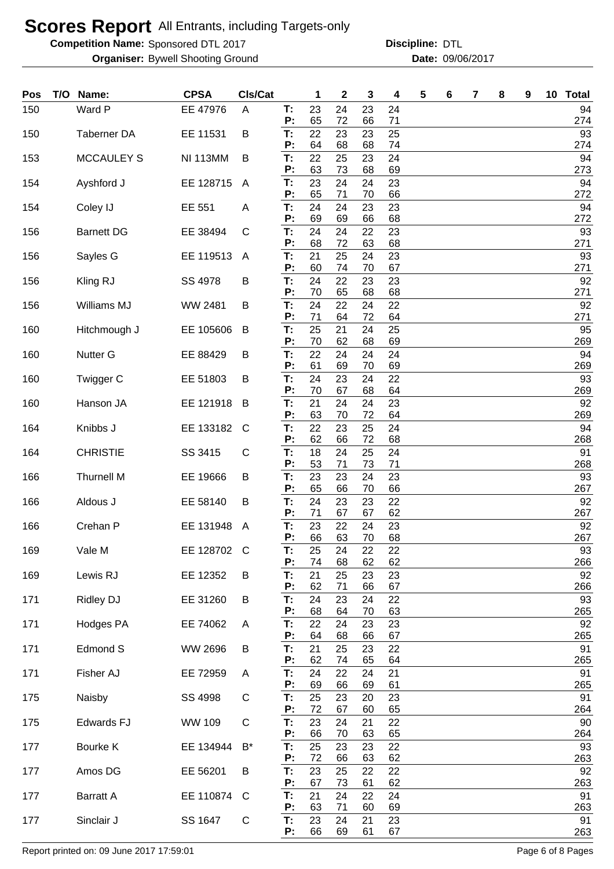**Competition Name:** Sponsored DTL 2017 **Discription Constructs** Discipline: DTL

Bywell Shooting Ground 09/06/2017 **Organiser: Date: Discipline:**

| Pos | T/O Name:         | <b>CPSA</b>     | CIs/Cat |          | 1        | $\mathbf 2$ | 3        | 4        | 5 | 6 | 7 | 8 | 9 | 10 | <b>Total</b> |
|-----|-------------------|-----------------|---------|----------|----------|-------------|----------|----------|---|---|---|---|---|----|--------------|
| 150 | Ward P            | EE 47976        | A       | T:<br>P: | 23<br>65 | 24<br>72    | 23<br>66 | 24<br>71 |   |   |   |   |   |    | 94<br>274    |
| 150 | Taberner DA       | EE 11531        | B       | T:       | 22       | 23          | 23       | 25       |   |   |   |   |   |    | 93           |
| 153 | <b>MCCAULEY S</b> | <b>NI 113MM</b> | B       | P:<br>T: | 64<br>22 | 68<br>25    | 68<br>23 | 74<br>24 |   |   |   |   |   |    | 274<br>94    |
| 154 | Ayshford J        | EE 128715       | A       | P:<br>T: | 63<br>23 | 73<br>24    | 68<br>24 | 69<br>23 |   |   |   |   |   |    | 273<br>94    |
|     |                   |                 |         | P:       | 65       | 71          | 70       | 66       |   |   |   |   |   |    | 272          |
| 154 | Coley IJ          | EE 551          | A       | T:<br>P: | 24<br>69 | 24<br>69    | 23<br>66 | 23<br>68 |   |   |   |   |   |    | 94<br>272    |
| 156 | <b>Barnett DG</b> | EE 38494        | C       | T:<br>P: | 24<br>68 | 24<br>72    | 22<br>63 | 23<br>68 |   |   |   |   |   |    | 93<br>271    |
| 156 | Sayles G          | EE 119513       | A       | T:       | 21       | 25          | 24       | 23       |   |   |   |   |   |    | 93           |
| 156 | Kling RJ          | SS 4978         | B       | P:<br>T: | 60<br>24 | 74<br>22    | 70<br>23 | 67<br>23 |   |   |   |   |   |    | 271<br>92    |
|     |                   |                 |         | P:       | 70       | 65          | 68       | 68       |   |   |   |   |   |    | 271          |
| 156 | Williams MJ       | <b>WW 2481</b>  | B       | T:<br>P: | 24<br>71 | 22<br>64    | 24<br>72 | 22<br>64 |   |   |   |   |   |    | 92<br>271    |
| 160 | Hitchmough J      | EE 105606       | B       | T:<br>P: | 25<br>70 | 21<br>62    | 24<br>68 | 25<br>69 |   |   |   |   |   |    | 95<br>269    |
| 160 | <b>Nutter G</b>   | EE 88429        | B       | T:       | 22       | 24          | 24       | 24       |   |   |   |   |   |    | 94           |
| 160 | Twigger C         | EE 51803        | B       | P:<br>T: | 61<br>24 | 69<br>23    | 70<br>24 | 69<br>22 |   |   |   |   |   |    | 269<br>93    |
|     |                   |                 |         | P:       | 70       | 67          | 68       | 64       |   |   |   |   |   |    | 269          |
| 160 | Hanson JA         | EE 121918       | B       | T:<br>P: | 21<br>63 | 24<br>70    | 24<br>72 | 23<br>64 |   |   |   |   |   |    | 92<br>269    |
| 164 | Knibbs J          | EE 133182       | C       | T:<br>P: | 22<br>62 | 23<br>66    | 25<br>72 | 24<br>68 |   |   |   |   |   |    | 94<br>268    |
| 164 | <b>CHRISTIE</b>   | SS 3415         | C       | T:       | 18       | 24          | 25       | 24       |   |   |   |   |   |    | 91           |
| 166 | <b>Thurnell M</b> | EE 19666        | B       | P:<br>T: | 53<br>23 | 71<br>23    | 73<br>24 | 71<br>23 |   |   |   |   |   |    | 268<br>93    |
|     |                   |                 |         | P:       | 65       | 66          | 70       | 66       |   |   |   |   |   |    | 267          |
| 166 | Aldous J          | EE 58140        | B       | T:<br>P: | 24<br>71 | 23<br>67    | 23<br>67 | 22<br>62 |   |   |   |   |   |    | 92<br>267    |
| 166 | Crehan P          | EE 131948       | A       | T:<br>P: | 23<br>66 | 22<br>63    | 24<br>70 | 23<br>68 |   |   |   |   |   |    | 92<br>267    |
| 169 | Vale M            | EE 128702       | C       | т:       | 25       | 24          | 22       | 22       |   |   |   |   |   |    | 93           |
| 169 | Lewis RJ          | EE 12352        | B       | P:<br>T: | 74<br>21 | 68<br>25    | 62<br>23 | 62<br>23 |   |   |   |   |   |    | 266<br>92    |
|     |                   | EE 31260        |         | P:       | 62       | 71          | 66       | 67       |   |   |   |   |   |    | 266          |
| 171 | Ridley DJ         |                 | B       | T:<br>P: | 24<br>68 | 23<br>64    | 24<br>70 | 22<br>63 |   |   |   |   |   |    | 93<br>265    |
| 171 | Hodges PA         | EE 74062        | A       | T:<br>P: | 22<br>64 | 24<br>68    | 23<br>66 | 23<br>67 |   |   |   |   |   |    | 92<br>265    |
| 171 | Edmond S          | <b>WW 2696</b>  | B       | T:       | 21       | 25          | 23       | 22       |   |   |   |   |   |    | 91           |
| 171 | Fisher AJ         | EE 72959        | A       | Ρ:<br>T: | 62<br>24 | 74<br>22    | 65<br>24 | 64<br>21 |   |   |   |   |   |    | 265<br>91    |
| 175 | Naisby            | SS 4998         | C       | Ρ:<br>T: | 69<br>25 | 66<br>23    | 69<br>20 | 61<br>23 |   |   |   |   |   |    | 265<br>91    |
|     |                   |                 |         | P:       | 72       | 67          | 60       | 65       |   |   |   |   |   |    | 264          |
| 175 | Edwards FJ        | <b>WW 109</b>   | C       | T:<br>P: | 23<br>66 | 24<br>70    | 21<br>63 | 22<br>65 |   |   |   |   |   |    | 90<br>264    |
| 177 | Bourke K          | EE 134944       | $B^*$   | T:       | 25<br>72 | 23          | 23       | 22       |   |   |   |   |   |    | 93           |
| 177 | Amos DG           | EE 56201        | B       | P:<br>T: | 23       | 66<br>25    | 63<br>22 | 62<br>22 |   |   |   |   |   |    | 263<br>92    |
| 177 | <b>Barratt A</b>  | EE 110874       | C       | P:<br>T: | 67<br>21 | 73<br>24    | 61<br>22 | 62<br>24 |   |   |   |   |   |    | 263<br>91    |
|     |                   |                 |         | Ρ.       | 63       | 71          | 60       | 69       |   |   |   |   |   |    | 263          |
| 177 | Sinclair J        | SS 1647         | C       | T:<br>P: | 23<br>66 | 24<br>69    | 21<br>61 | 23<br>67 |   |   |   |   |   |    | 91<br>263    |

Report printed on: 09 June 2017 17:59:01 Page 6 of 8 Pages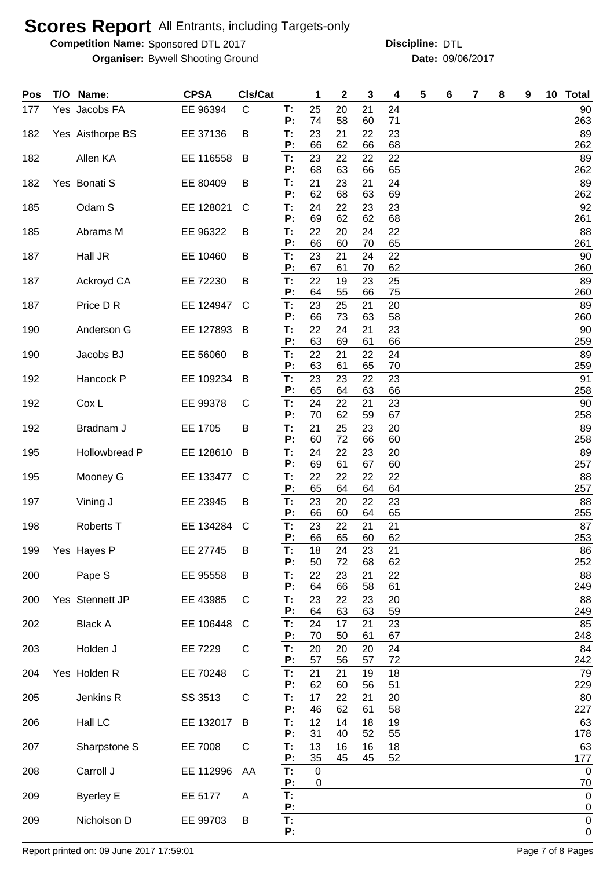**Competition Name:** Sponsored DTL 2017 **Discription Constructs** Discipline: DTL

Bywell Shooting Ground 09/06/2017 **Organiser: Date:**

**Discipline:**

| Pos | T/O Name:        | <b>CPSA</b> | Cls/Cat      |          | 1                 | 2        | 3        | 4        | 5 | 6 | 7 | 8 | 9 | 10 Total                    |
|-----|------------------|-------------|--------------|----------|-------------------|----------|----------|----------|---|---|---|---|---|-----------------------------|
| 177 | Yes Jacobs FA    | EE 96394    | $\mathsf{C}$ | T:<br>P: | 25<br>74          | 20<br>58 | 21<br>60 | 24<br>71 |   |   |   |   |   | 90<br>263                   |
| 182 | Yes Aisthorpe BS | EE 37136    | B            | T:<br>P: | 23<br>66          | 21<br>62 | 22<br>66 | 23<br>68 |   |   |   |   |   | 89<br>262                   |
| 182 | Allen KA         | EE 116558   | B            | T:       | 23<br>68          | 22<br>63 | 22<br>66 | 22<br>65 |   |   |   |   |   | 89<br>262                   |
| 182 | Yes Bonati S     | EE 80409    | B            | P:<br>T: | 21                | 23       | 21       | 24       |   |   |   |   |   | 89                          |
| 185 | Odam S           | EE 128021   | C            | P:<br>T: | 62<br>24          | 68<br>22 | 63<br>23 | 69<br>23 |   |   |   |   |   | 262<br>92                   |
| 185 | Abrams M         | EE 96322    | B            | P:<br>T: | 69<br>22          | 62<br>20 | 62<br>24 | 68<br>22 |   |   |   |   |   | 261<br>88                   |
| 187 | Hall JR          | EE 10460    | B            | P:<br>T: | 66<br>23          | 60<br>21 | 70<br>24 | 65<br>22 |   |   |   |   |   | 261<br>90                   |
| 187 | Ackroyd CA       | EE 72230    | B            | P:<br>T: | 67<br>22          | 61<br>19 | 70<br>23 | 62<br>25 |   |   |   |   |   | 260<br>89                   |
| 187 | Price D R        | EE 124947   | C            | P:<br>T: | 64<br>23          | 55<br>25 | 66<br>21 | 75<br>20 |   |   |   |   |   | 260<br>89                   |
| 190 | Anderson G       | EE 127893   | B            | P:<br>T: | 66<br>22          | 73<br>24 | 63<br>21 | 58<br>23 |   |   |   |   |   | 260<br>90                   |
| 190 | Jacobs BJ        | EE 56060    |              | P:<br>T: | 63<br>22          | 69<br>21 | 61<br>22 | 66<br>24 |   |   |   |   |   | 259<br>89                   |
|     |                  |             | B            | P:       | 63                | 61       | 65       | 70       |   |   |   |   |   | 259                         |
| 192 | Hancock P        | EE 109234   | B            | T:<br>P: | 23<br>65          | 23<br>64 | 22<br>63 | 23<br>66 |   |   |   |   |   | 91<br>258                   |
| 192 | Cox L            | EE 99378    | C            | T:<br>P: | 24<br>70          | 22<br>62 | 21<br>59 | 23<br>67 |   |   |   |   |   | 90<br>258                   |
| 192 | Bradnam J        | EE 1705     | В            | T:<br>P: | 21<br>60          | 25<br>72 | 23<br>66 | 20<br>60 |   |   |   |   |   | 89<br>258                   |
| 195 | Hollowbread P    | EE 128610   | B            | T:       | 24                | 22       | 23       | 20       |   |   |   |   |   | 89                          |
| 195 | Mooney G         | EE 133477   | C            | P:<br>T: | 69<br>22          | 61<br>22 | 67<br>22 | 60<br>22 |   |   |   |   |   | 257<br>88                   |
| 197 | Vining J         | EE 23945    | B            | P:<br>T: | 65<br>23          | 64<br>20 | 64<br>22 | 64<br>23 |   |   |   |   |   | 257<br>88                   |
| 198 | Roberts T        | EE 134284   | C            | P:<br>Т: | 66<br>23          | 60<br>22 | 64<br>21 | 65<br>21 |   |   |   |   |   | 255<br>87                   |
| 199 | Yes Hayes P      | EE 27745    | в            | P:<br>T: | 66<br>18          | 65<br>24 | 60<br>23 | 62<br>21 |   |   |   |   |   | 253<br>86                   |
| 200 | Pape S           | EE 95558    | B            | P:<br>T: | 50<br>22          | 72<br>23 | 68<br>21 | 62<br>22 |   |   |   |   |   | 252<br>88                   |
| 200 | Yes Stennett JP  | EE 43985    | C            | P:<br>T: | 64<br>23          | 66<br>22 | 58<br>23 | 61<br>20 |   |   |   |   |   | 249<br>88                   |
|     |                  |             |              | P:       | 64                | 63       | 63       | 59       |   |   |   |   |   | 249                         |
| 202 | <b>Black A</b>   | EE 106448   | C            | T:<br>P: | 24<br>70          | 17<br>50 | 21<br>61 | 23<br>67 |   |   |   |   |   | 85<br>248                   |
| 203 | Holden J         | EE 7229     | C            | T:<br>P: | 20<br>57          | 20<br>56 | 20<br>57 | 24<br>72 |   |   |   |   |   | 84<br>242                   |
| 204 | Yes Holden R     | EE 70248    | C            | T:<br>P: | 21<br>62          | 21<br>60 | 19<br>56 | 18<br>51 |   |   |   |   |   | 79<br>229                   |
| 205 | Jenkins R        | SS 3513     | C            | T:<br>P: | 17<br>46          | 22<br>62 | 21<br>61 | 20       |   |   |   |   |   | 80<br>227                   |
| 206 | Hall LC          | EE 132017   | B            | T:       | 12                | 14       | 18       | 58<br>19 |   |   |   |   |   | 63                          |
| 207 | Sharpstone S     | EE 7008     | C            | P:<br>T: | 31<br>13          | 40<br>16 | 52<br>16 | 55<br>18 |   |   |   |   |   | 178<br>63                   |
| 208 | Carroll J        | EE 112996   | AA           | P:<br>Т. | 35<br>$\mathbf 0$ | 45       | 45       | 52       |   |   |   |   |   | 177<br>$\mathbf 0$          |
| 209 | <b>Byerley E</b> | EE 5177     | Α            | P:<br>T. | 0                 |          |          |          |   |   |   |   |   | 70<br>$\pmb{0}$             |
| 209 | Nicholson D      | EE 99703    | B            | P:<br>T: |                   |          |          |          |   |   |   |   |   | $\overline{0}$<br>$\pmb{0}$ |
|     |                  |             |              | P:       |                   |          |          |          |   |   |   |   |   | 0                           |